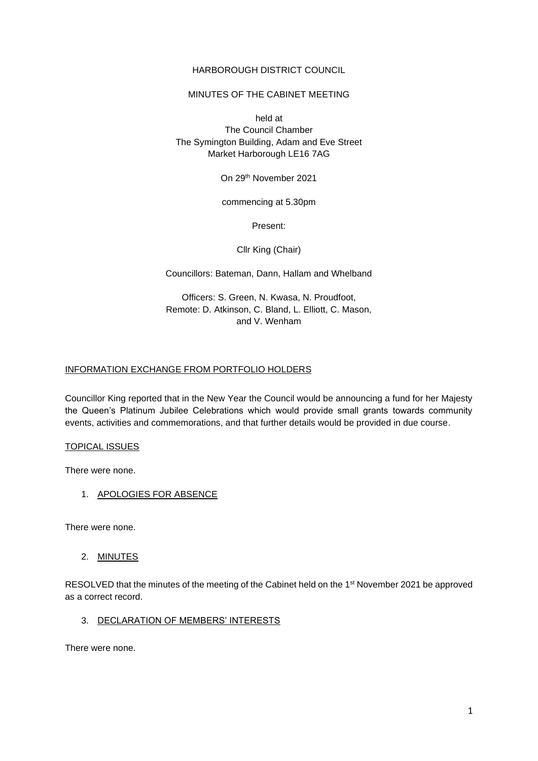### HARBOROUGH DISTRICT COUNCIL

### MINUTES OF THE CABINET MEETING

held at The Council Chamber The Symington Building, Adam and Eve Street Market Harborough LE16 7AG

On 29th November 2021

commencing at 5.30pm

Present:

Cllr King (Chair)

Councillors: Bateman, Dann, Hallam and Whelband

Officers: S. Green, N. Kwasa, N. Proudfoot, Remote: D. Atkinson, C. Bland, L. Elliott, C. Mason, and V. Wenham

### INFORMATION EXCHANGE FROM PORTFOLIO HOLDERS

Councillor King reported that in the New Year the Council would be announcing a fund for her Majesty the Queen's Platinum Jubilee Celebrations which would provide small grants towards community events, activities and commemorations, and that further details would be provided in due course.

### TOPICAL ISSUES

There were none.

1. APOLOGIES FOR ABSENCE

There were none.

2. MINUTES

RESOLVED that the minutes of the meeting of the Cabinet held on the 1<sup>st</sup> November 2021 be approved as a correct record.

3. DECLARATION OF MEMBERS' INTERESTS

There were none.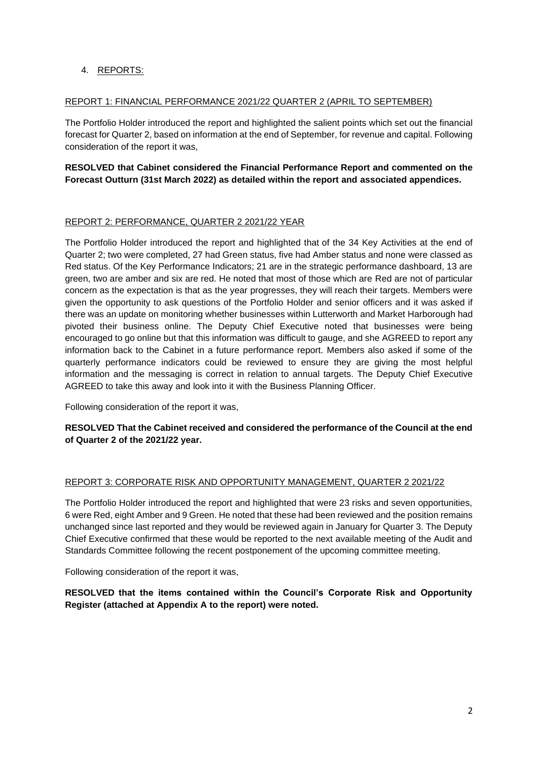# 4. REPORTS:

#### REPORT 1: FINANCIAL PERFORMANCE 2021/22 QUARTER 2 (APRIL TO SEPTEMBER)

The Portfolio Holder introduced the report and highlighted the salient points which set out the financial forecast for Quarter 2, based on information at the end of September, for revenue and capital. Following consideration of the report it was,

# **RESOLVED that Cabinet considered the Financial Performance Report and commented on the Forecast Outturn (31st March 2022) as detailed within the report and associated appendices.**

#### REPORT 2: PERFORMANCE, QUARTER 2 2021/22 YEAR

The Portfolio Holder introduced the report and highlighted that of the 34 Key Activities at the end of Quarter 2; two were completed, 27 had Green status, five had Amber status and none were classed as Red status. Of the Key Performance Indicators; 21 are in the strategic performance dashboard, 13 are green, two are amber and six are red. He noted that most of those which are Red are not of particular concern as the expectation is that as the year progresses, they will reach their targets. Members were given the opportunity to ask questions of the Portfolio Holder and senior officers and it was asked if there was an update on monitoring whether businesses within Lutterworth and Market Harborough had pivoted their business online. The Deputy Chief Executive noted that businesses were being encouraged to go online but that this information was difficult to gauge, and she AGREED to report any information back to the Cabinet in a future performance report. Members also asked if some of the quarterly performance indicators could be reviewed to ensure they are giving the most helpful information and the messaging is correct in relation to annual targets. The Deputy Chief Executive AGREED to take this away and look into it with the Business Planning Officer.

Following consideration of the report it was,

### **RESOLVED That the Cabinet received and considered the performance of the Council at the end of Quarter 2 of the 2021/22 year.**

#### REPORT 3: CORPORATE RISK AND OPPORTUNITY MANAGEMENT, QUARTER 2 2021/22

The Portfolio Holder introduced the report and highlighted that were 23 risks and seven opportunities, 6 were Red, eight Amber and 9 Green. He noted that these had been reviewed and the position remains unchanged since last reported and they would be reviewed again in January for Quarter 3. The Deputy Chief Executive confirmed that these would be reported to the next available meeting of the Audit and Standards Committee following the recent postponement of the upcoming committee meeting.

Following consideration of the report it was,

**RESOLVED that the items contained within the Council's Corporate Risk and Opportunity Register (attached at Appendix A to the report) were noted.**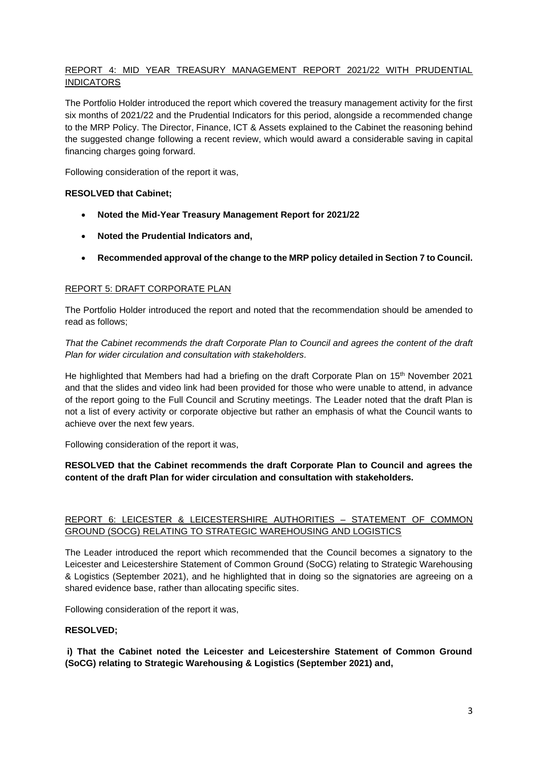# REPORT 4: MID YEAR TREASURY MANAGEMENT REPORT 2021/22 WITH PRUDENTIAL **INDICATORS**

The Portfolio Holder introduced the report which covered the treasury management activity for the first six months of 2021/22 and the Prudential Indicators for this period, alongside a recommended change to the MRP Policy. The Director, Finance, ICT & Assets explained to the Cabinet the reasoning behind the suggested change following a recent review, which would award a considerable saving in capital financing charges going forward.

Following consideration of the report it was,

#### **RESOLVED that Cabinet;**

- **Noted the Mid-Year Treasury Management Report for 2021/22**
- **Noted the Prudential Indicators and,**
- **Recommended approval of the change to the MRP policy detailed in Section 7 to Council.**

### REPORT 5: DRAFT CORPORATE PLAN

The Portfolio Holder introduced the report and noted that the recommendation should be amended to read as follows;

*That the Cabinet recommends the draft Corporate Plan to Council and agrees the content of the draft Plan for wider circulation and consultation with stakeholders.*

He highlighted that Members had had a briefing on the draft Corporate Plan on 15<sup>th</sup> November 2021 and that the slides and video link had been provided for those who were unable to attend, in advance of the report going to the Full Council and Scrutiny meetings. The Leader noted that the draft Plan is not a list of every activity or corporate objective but rather an emphasis of what the Council wants to achieve over the next few years.

Following consideration of the report it was,

### **RESOLVED that the Cabinet recommends the draft Corporate Plan to Council and agrees the content of the draft Plan for wider circulation and consultation with stakeholders.**

# REPORT 6: LEICESTER & LEICESTERSHIRE AUTHORITIES – STATEMENT OF COMMON GROUND (SOCG) RELATING TO STRATEGIC WAREHOUSING AND LOGISTICS

The Leader introduced the report which recommended that the Council becomes a signatory to the Leicester and Leicestershire Statement of Common Ground (SoCG) relating to Strategic Warehousing & Logistics (September 2021), and he highlighted that in doing so the signatories are agreeing on a shared evidence base, rather than allocating specific sites.

Following consideration of the report it was,

# **RESOLVED;**

**i) That the Cabinet noted the Leicester and Leicestershire Statement of Common Ground (SoCG) relating to Strategic Warehousing & Logistics (September 2021) and,**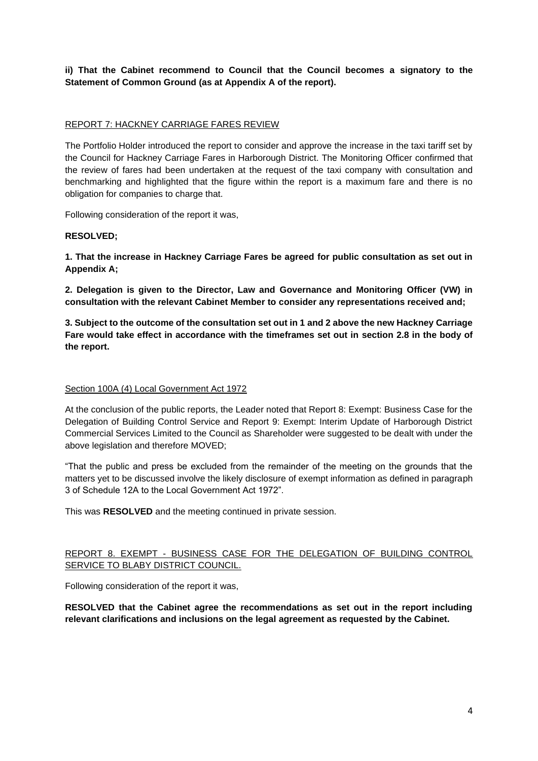**ii) That the Cabinet recommend to Council that the Council becomes a signatory to the Statement of Common Ground (as at Appendix A of the report).**

### REPORT 7: HACKNEY CARRIAGE FARES REVIEW

The Portfolio Holder introduced the report to consider and approve the increase in the taxi tariff set by the Council for Hackney Carriage Fares in Harborough District. The Monitoring Officer confirmed that the review of fares had been undertaken at the request of the taxi company with consultation and benchmarking and highlighted that the figure within the report is a maximum fare and there is no obligation for companies to charge that.

Following consideration of the report it was,

### **RESOLVED;**

**1. That the increase in Hackney Carriage Fares be agreed for public consultation as set out in Appendix A;**

**2. Delegation is given to the Director, Law and Governance and Monitoring Officer (VW) in consultation with the relevant Cabinet Member to consider any representations received and;**

**3. Subject to the outcome of the consultation set out in 1 and 2 above the new Hackney Carriage Fare would take effect in accordance with the timeframes set out in section 2.8 in the body of the report.**

#### Section 100A (4) Local Government Act 1972

At the conclusion of the public reports, the Leader noted that Report 8: Exempt: Business Case for the Delegation of Building Control Service and Report 9: Exempt: Interim Update of Harborough District Commercial Services Limited to the Council as Shareholder were suggested to be dealt with under the above legislation and therefore MOVED;

"That the public and press be excluded from the remainder of the meeting on the grounds that the matters yet to be discussed involve the likely disclosure of exempt information as defined in paragraph 3 of Schedule 12A to the Local Government Act 1972".

This was **RESOLVED** and the meeting continued in private session.

# REPORT 8. EXEMPT - BUSINESS CASE FOR THE DELEGATION OF BUILDING CONTROL SERVICE TO BLABY DISTRICT COUNCIL.

Following consideration of the report it was,

**RESOLVED that the Cabinet agree the recommendations as set out in the report including relevant clarifications and inclusions on the legal agreement as requested by the Cabinet.**